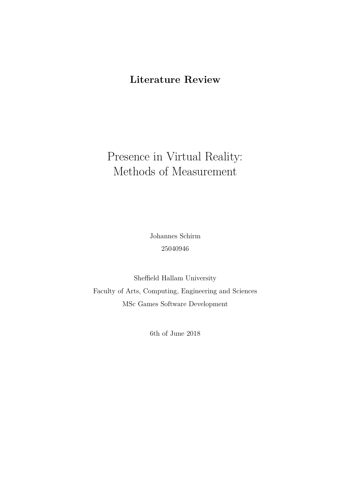### **Literature Review**

# Presence in Virtual Reality: Methods of Measurement

Johannes Schirm 25040946

Sheffield Hallam University Faculty of Arts, Computing, Engineering and Sciences MSc Games Software Development

6th of June 2018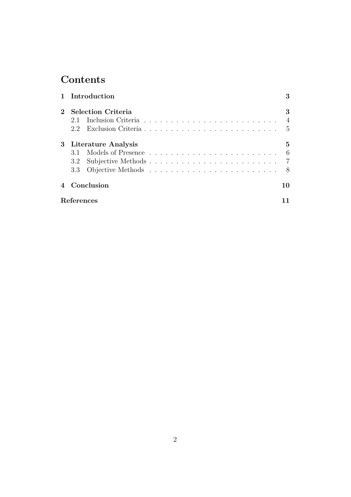## **Contents**

|             | 1 Introduction            |                        |                |  |
|-------------|---------------------------|------------------------|----------------|--|
| $2^{\circ}$ | <b>Selection Criteria</b> |                        |                |  |
|             | 2.1                       |                        | $\overline{4}$ |  |
|             |                           | 2.2 Exclusion Criteria | - 5            |  |
|             | 3 Literature Analysis     |                        |                |  |
|             |                           |                        | - 6            |  |
|             |                           |                        |                |  |
|             |                           |                        |                |  |
|             | Conclusion                |                        | 10             |  |
|             | References                |                        |                |  |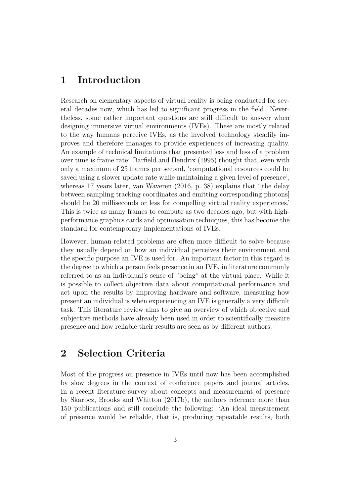### <span id="page-2-0"></span>**1 Introduction**

Research on elementary aspects of virtual reality is being conducted for several decades now, which has led to significant progress in the field. Nevertheless, some rather important questions are still difficult to answer when designing immersive virtual environments (IVEs). These are mostly related to the way humans perceive IVEs, as the involved technology steadily improves and therefore manages to provide experiences of increasing quality. An example of technical limitations that presented less and less of a problem over time is frame rate: [Barfield and Hendrix](#page-10-1) [\(1995\)](#page-10-1) thought that, even with only a maximum of 25 frames per second, 'computational resources could be saved using a slower update rate while maintaining a given level of presence', whereas 17 years later, [van Waveren](#page-12-0)  $(2016, p. 38)$  $(2016, p. 38)$  explains that '[the delay between sampling tracking coordinates and emitting corresponding photons] should be 20 milliseconds or less for compelling virtual reality experiences.' This is twice as many frames to compute as two decades ago, but with highperformance graphics cards and optimisation techniques, this has become the standard for contemporary implementations of IVEs.

However, human-related problems are often more difficult to solve because they usually depend on how an individual perceives their environment and the specific purpose an IVE is used for. An important factor in this regard is the degree to which a person feels presence in an IVE, in literature commonly referred to as an individual's sense of "being" at the virtual place. While it is possible to collect objective data about computational performance and act upon the results by improving hardware and software, measuring how present an individual is when experiencing an IVE is generally a very difficult task. This literature review aims to give an overview of which objective and subjective methods have already been used in order to scientifically measure presence and how reliable their results are seen as by different authors.

#### <span id="page-2-1"></span>**2 Selection Criteria**

Most of the progress on presence in IVEs until now has been accomplished by slow degrees in the context of conference papers and journal articles. In a recent literature survey about concepts and measurement of presence by [Skarbez, Brooks and Whitton](#page-11-0) [\(2017b\)](#page-11-0), the authors reference more than 150 publications and still conclude the following: 'An ideal measurement of presence would be reliable, that is, producing repeatable results, both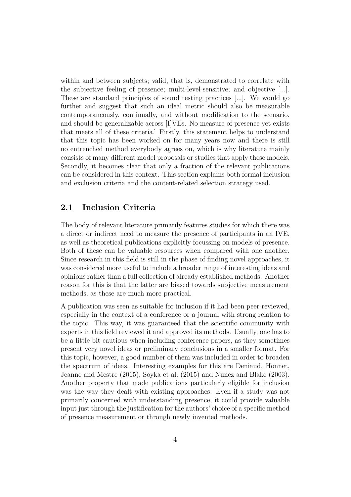within and between subjects; valid, that is, demonstrated to correlate with the subjective feeling of presence; multi-level-sensitive; and objective [...]. These are standard principles of sound testing practices [...]. We would go further and suggest that such an ideal metric should also be measurable contemporaneously, continually, and without modification to the scenario, and should be generalizable across [I]VEs. No measure of presence yet exists that meets all of these criteria.' Firstly, this statement helps to understand that this topic has been worked on for many years now and there is still no entrenched method everybody agrees on, which is why literature mainly consists of many different model proposals or studies that apply these models. Secondly, it becomes clear that only a fraction of the relevant publications can be considered in this context. This section explains both formal inclusion and exclusion criteria and the content-related selection strategy used.

#### <span id="page-3-0"></span>**2.1 Inclusion Criteria**

The body of relevant literature primarily features studies for which there was a direct or indirect need to measure the presence of participants in an IVE, as well as theoretical publications explicitly focussing on models of presence. Both of these can be valuable resources when compared with one another. Since research in this field is still in the phase of finding novel approaches, it was considered more useful to include a broader range of interesting ideas and opinions rather than a full collection of already established methods. Another reason for this is that the latter are biased towards subjective measurement methods, as these are much more practical.

A publication was seen as suitable for inclusion if it had been peer-reviewed, especially in the context of a conference or a journal with strong relation to the topic. This way, it was guaranteed that the scientific community with experts in this field reviewed it and approved its methods. Usually, one has to be a little bit cautious when including conference papers, as they sometimes present very novel ideas or preliminary conclusions in a smaller format. For this topic, however, a good number of them was included in order to broaden the spectrum of ideas. Interesting examples for this are [Deniaud, Honnet,](#page-10-2) [Jeanne and Mestre](#page-10-2) [\(2015\)](#page-10-2), [Soyka et al.](#page-12-1) [\(2015\)](#page-12-1) and [Nunez and Blake](#page-11-1) [\(2003\)](#page-11-1). Another property that made publications particularly eligible for inclusion was the way they dealt with existing approaches: Even if a study was not primarily concerned with understanding presence, it could provide valuable input just through the justification for the authors' choice of a specific method of presence measurement or through newly invented methods.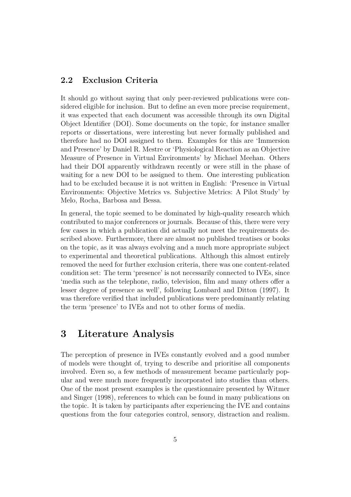#### <span id="page-4-0"></span>**2.2 Exclusion Criteria**

It should go without saying that only peer-reviewed publications were considered eligible for inclusion. But to define an even more precise requirement, it was expected that each document was accessible through its own Digital Object Identifier (DOI). Some documents on the topic, for instance smaller reports or dissertations, were interesting but never formally published and therefore had no DOI assigned to them. Examples for this are 'Immersion and Presence' by Daniel R. Mestre or 'Physiological Reaction as an Objective Measure of Presence in Virtual Environments' by Michael Meehan. Others had their DOI apparently withdrawn recently or were still in the phase of waiting for a new DOI to be assigned to them. One interesting publication had to be excluded because it is not written in English: 'Presence in Virtual Environments: Objective Metrics vs. Subjective Metrics: A Pilot Study' by Melo, Rocha, Barbosa and Bessa.

In general, the topic seemed to be dominated by high-quality research which contributed to major conferences or journals. Because of this, there were very few cases in which a publication did actually not meet the requirements described above. Furthermore, there are almost no published treatises or books on the topic, as it was always evolving and a much more appropriate subject to experimental and theoretical publications. Although this almost entirely removed the need for further exclusion criteria, there was one content-related condition set: The term 'presence' is not necessarily connected to IVEs, since 'media such as the telephone, radio, television, film and many others offer a lesser degree of presence as well', following [Lombard and Ditton](#page-10-3) [\(1997\)](#page-10-3). It was therefore verified that included publications were predominantly relating the term 'presence' to IVEs and not to other forms of media.

### <span id="page-4-1"></span>**3 Literature Analysis**

The perception of presence in IVEs constantly evolved and a good number of models were thought of, trying to describe and prioritise all components involved. Even so, a few methods of measurement became particularly popular and were much more frequently incorporated into studies than others. One of the most present examples is the questionnaire presented by [Witmer](#page-12-2) [and Singer](#page-12-2) [\(1998\)](#page-12-2), references to which can be found in many publications on the topic. It is taken by participants after experiencing the IVE and contains questions from the four categories control, sensory, distraction and realism.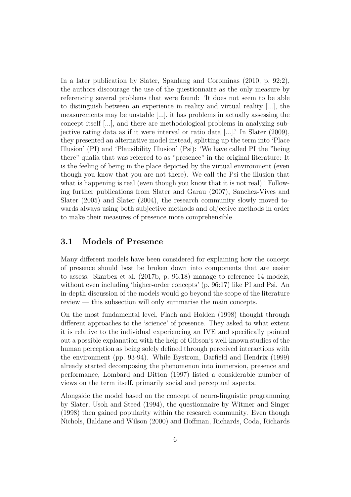In a later publication by [Slater, Spanlang and Corominas](#page-11-2) [\(2010,](#page-11-2) p. 92:2), the authors discourage the use of the questionnaire as the only measure by referencing several problems that were found: 'It does not seem to be able to distinguish between an experience in reality and virtual reality [...], the measurements may be unstable [...], it has problems in actually assessing the concept itself [...], and there are methodological problems in analyzing subjective rating data as if it were interval or ratio data [...].' In [Slater](#page-11-3) [\(2009\)](#page-11-3), they presented an alternative model instead, splitting up the term into 'Place Illusion' (PI) and 'Plausibility Illusion' (Psi): 'We have called PI the "being there" qualia that was referred to as "presence" in the original literature: It is the feeling of being in the place depicted by the virtual environment (even though you know that you are not there). We call the Psi the illusion that what is happening is real (even though you know that it is not real). Following further publications from [Slater and Garau](#page-11-4) [\(2007\)](#page-11-4), [Sanchez-Vives and](#page-11-5) [Slater](#page-11-5) [\(2005\)](#page-11-5) and [Slater](#page-11-6) [\(2004\)](#page-11-6), the research community slowly moved towards always using both subjective methods and objective methods in order to make their measures of presence more comprehensible.

#### <span id="page-5-0"></span>**3.1 Models of Presence**

Many different models have been considered for explaining how the concept of presence should best be broken down into components that are easier to assess. [Skarbez et al.](#page-11-0) [\(2017b,](#page-11-0) p. 96:18) manage to reference 14 models, without even including 'higher-order concepts' (p. 96:17) like PI and Psi. An in-depth discussion of the models would go beyond the scope of the literature review — this subsection will only summarise the main concepts.

On the most fundamental level, [Flach and Holden](#page-10-4) [\(1998\)](#page-10-4) thought through different approaches to the 'science' of presence. They asked to what extent it is relative to the individual experiencing an IVE and specifically pointed out a possible explanation with the help of Gibson's well-known studies of the human perception as being solely defined through perceived interactions with the environment (pp. 93-94). While [Bystrom, Barfield and Hendrix](#page-10-5) [\(1999\)](#page-10-5) already started decomposing the phenomenon into immersion, presence and performance, [Lombard and Ditton](#page-10-3) [\(1997\)](#page-10-3) listed a considerable number of views on the term itself, primarily social and perceptual aspects.

Alongside the model based on the concept of neuro-linguistic programming by [Slater, Usoh and Steed](#page-12-3) [\(1994\)](#page-12-3), the questionnaire by [Witmer and Singer](#page-12-2) [\(1998\)](#page-12-2) then gained popularity within the research community. Even though [Nichols, Haldane and Wilson](#page-10-6) [\(2000\)](#page-10-6) and [Hoffman, Richards, Coda, Richards](#page-10-7)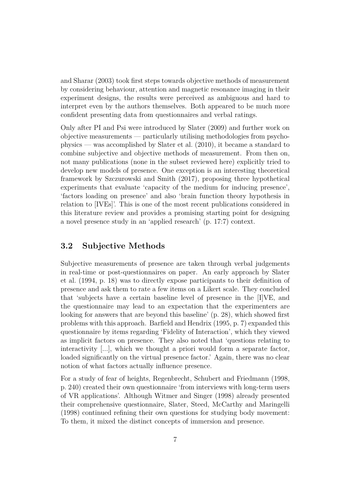[and Sharar](#page-10-7) [\(2003\)](#page-10-7) took first steps towards objective methods of measurement by considering behaviour, attention and magnetic resonance imaging in their experiment designs, the results were perceived as ambiguous and hard to interpret even by the authors themselves. Both appeared to be much more confident presenting data from questionnaires and verbal ratings.

Only after PI and Psi were introduced by [Slater](#page-11-3) [\(2009\)](#page-11-3) and further work on objective measurements — particularly utilising methodologies from psychophysics — was accomplished by [Slater et al.](#page-11-2) [\(2010\)](#page-11-2), it became a standard to combine subjective and objective methods of measurement. From then on, not many publications (none in the subset reviewed here) explicitly tried to develop new models of presence. One exception is an interesting theoretical framework by [Szczurowski and Smith](#page-12-4) [\(2017\)](#page-12-4), proposing three hypothetical experiments that evaluate 'capacity of the medium for inducing presence', 'factors loading on presence' and also 'brain function theory hypothesis in relation to [IVEs]'. This is one of the most recent publications considered in this literature review and provides a promising starting point for designing a novel presence study in an 'applied research' (p. 17:7) context.

#### <span id="page-6-0"></span>**3.2 Subjective Methods**

Subjective measurements of presence are taken through verbal judgements in real-time or post-questionnaires on paper. An early approach by [Slater](#page-12-3) [et al.](#page-12-3) [\(1994,](#page-12-3) p. 18) was to directly expose participants to their definition of presence and ask them to rate a few items on a Likert scale. They concluded that 'subjects have a certain baseline level of presence in the [I]VE, and the questionnaire may lead to an expectation that the experimenters are looking for answers that are beyond this baseline' (p. 28), which showed first problems with this approach. [Barfield and Hendrix](#page-10-1) [\(1995,](#page-10-1) p. 7) expanded this questionnaire by items regarding 'Fidelity of Interaction', which they viewed as implicit factors on presence. They also noted that 'questions relating to interactivity [...], which we thought a priori would form a separate factor, loaded significantly on the virtual presence factor.' Again, there was no clear notion of what factors actually influence presence.

For a study of fear of heights, [Regenbrecht, Schubert and Friedmann](#page-11-7) [\(1998,](#page-11-7) p. 240) created their own questionnaire 'from interviews with long-term users of VR applications'. Although [Witmer and Singer](#page-12-2) [\(1998\)](#page-12-2) already presented their comprehensive questionnaire, [Slater, Steed, McCarthy and Maringelli](#page-11-8) [\(1998\)](#page-11-8) continued refining their own questions for studying body movement: To them, it mixed the distinct concepts of immersion and presence.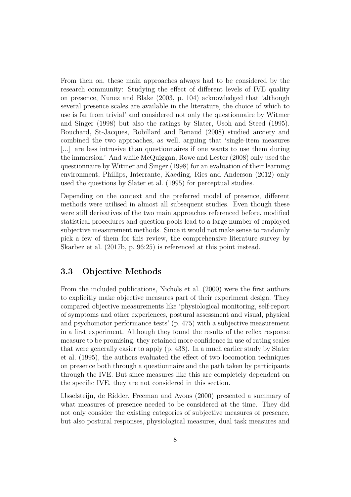From then on, these main approaches always had to be considered by the research community: Studying the effect of different levels of IVE quality on presence, [Nunez and Blake](#page-11-1) [\(2003,](#page-11-1) p. 104) acknowledged that 'although several presence scales are available in the literature, the choice of which to use is far from trivial' and considered not only the questionnaire by [Witmer](#page-12-2) [and Singer](#page-12-2) [\(1998\)](#page-12-2) but also the ratings by [Slater, Usoh and Steed](#page-12-5) [\(1995\)](#page-12-5). [Bouchard, St-Jacques, Robillard and Renaud](#page-10-8) [\(2008\)](#page-10-8) studied anxiety and combined the two approaches, as well, arguing that 'single-item measures [...] are less intrusive than questionnaires if one wants to use them during the immersion.' And while [McQuiggan, Rowe and Lester](#page-10-9) [\(2008\)](#page-10-9) only used the questionnaire by [Witmer and Singer](#page-12-2) [\(1998\)](#page-12-2) for an evaluation of their learning environment, [Phillips, Interrante, Kaeding, Ries and Anderson](#page-11-9) [\(2012\)](#page-11-9) only used the questions by [Slater et al.](#page-12-5) [\(1995\)](#page-12-5) for perceptual studies.

Depending on the context and the preferred model of presence, different methods were utilised in almost all subsequent studies. Even though these were still derivatives of the two main approaches referenced before, modified statistical procedures and question pools lead to a large number of employed subjective measurement methods. Since it would not make sense to randomly pick a few of them for this review, the comprehensive literature survey by [Skarbez et al.](#page-11-0) [\(2017b,](#page-11-0) p. 96:25) is referenced at this point instead.

#### <span id="page-7-0"></span>**3.3 Objective Methods**

From the included publications, [Nichols et al.](#page-10-6) [\(2000\)](#page-10-6) were the first authors to explicitly make objective measures part of their experiment design. They compared objective measurements like 'physiological monitoring, self-report of symptoms and other experiences, postural assessment and visual, physical and psychomotor performance tests' (p. 475) with a subjective measurement in a first experiment. Although they found the results of the reflex response measure to be promising, they retained more confidence in use of rating scales that were generally easier to apply (p. 438). In a much earlier study by [Slater](#page-12-5) [et al.](#page-12-5) [\(1995\)](#page-12-5), the authors evaluated the effect of two locomotion techniques on presence both through a questionnaire and the path taken by participants through the IVE. But since measures like this are completely dependent on the specific IVE, they are not considered in this section.

[IJsselsteijn, de Ridder, Freeman and Avons](#page-10-10) [\(2000\)](#page-10-10) presented a summary of what measures of presence needed to be considered at the time. They did not only consider the existing categories of subjective measures of presence, but also postural responses, physiological measures, dual task measures and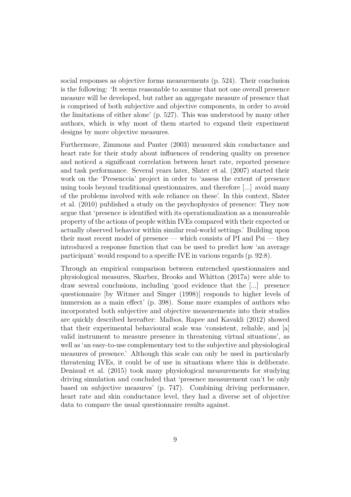social responses as objective forms measurements (p. 524). Their conclusion is the following: 'It seems reasonable to assume that not one overall presence measure will be developed, but rather an aggregate measure of presence that is comprised of both subjective and objective components, in order to avoid the limitations of either alone' (p. 527). This was understood by many other authors, which is why most of them started to expand their experiment designs by more objective measures.

Furthermore, [Zimmons and Panter](#page-12-6) [\(2003\)](#page-12-6) measured skin conductance and heart rate for their study about influences of rendering quality on presence and noticed a significant correlation between heart rate, reported presence and task performance. Several years later, [Slater et al.](#page-11-10) [\(2007\)](#page-11-10) started their work on the 'Presenccia' project in order to 'assess the extent of presence using tools beyond traditional questionnaires, and therefore [...] avoid many of the problems involved with sole reliance on these'. In this context, [Slater](#page-11-2) [et al.](#page-11-2) [\(2010\)](#page-11-2) published a study on the psychophysics of presence: They now argue that 'presence is identified with its operationalization as a measureable property of the actions of people within IVEs compared with their expected or actually observed behavior within similar real-world settings.' Building upon their most recent model of presence — which consists of  $PI$  and  $Psi$  — they introduced a response function that can be used to predict how 'an average participant' would respond to a specific IVE in various regards (p. 92:8).

Through an empirical comparison between entrenched questionnaires and physiological measures, [Skarbez, Brooks and Whitton](#page-11-11) [\(2017a\)](#page-11-11) were able to draw several conclusions, including 'good evidence that the [...] presence questionnaire [by [Witmer and Singer](#page-12-2) [\(1998\)](#page-12-2)] responds to higher levels of immersion as a main effect' (p. 398). Some more examples of authors who incorporated both subjective and objective measurements into their studies are quickly described hereafter: [Malbos, Rapee and Kavakli](#page-10-11) [\(2012\)](#page-10-11) showed that their experimental behavioural scale was 'consistent, reliable, and [a] valid instrument to measure presence in threatening virtual situations', as well as 'an easy-to-use complementary test to the subjective and physiological measures of presence.' Although this scale can only be used in particularly threatening IVEs, it could be of use in situations where this is deliberate. [Deniaud et al.](#page-10-2) [\(2015\)](#page-10-2) took many physiological measurements for studying driving simulation and concluded that 'presence measurement can't be only based on subjective measures' (p. 747). Combining driving performance, heart rate and skin conductance level, they had a diverse set of objective data to compare the usual questionnaire results against.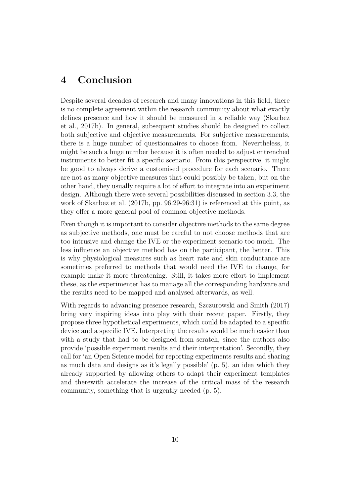### <span id="page-9-0"></span>**4 Conclusion**

Despite several decades of research and many innovations in this field, there is no complete agreement within the research community about what exactly defines presence and how it should be measured in a reliable way [\(Skarbez](#page-11-0) [et al., 2017b\)](#page-11-0). In general, subsequent studies should be designed to collect both subjective and objective measurements. For subjective measurements, there is a huge number of questionnaires to choose from. Nevertheless, it might be such a huge number because it is often needed to adjust entrenched instruments to better fit a specific scenario. From this perspective, it might be good to always derive a customised procedure for each scenario. There are not as many objective measures that could possibly be taken, but on the other hand, they usually require a lot of effort to integrate into an experiment design. Although there were several possibilities discussed in [section 3.3,](#page-7-0) the work of [Skarbez et al.](#page-11-0) [\(2017b,](#page-11-0) pp. 96:29-96:31) is referenced at this point, as they offer a more general pool of common objective methods.

Even though it is important to consider objective methods to the same degree as subjective methods, one must be careful to not choose methods that are too intrusive and change the IVE or the experiment scenario too much. The less influence an objective method has on the participant, the better. This is why physiological measures such as heart rate and skin conductance are sometimes preferred to methods that would need the IVE to change, for example make it more threatening. Still, it takes more effort to implement these, as the experimenter has to manage all the corresponding hardware and the results need to be mapped and analysed afterwards, as well.

With regards to advancing presence research, [Szczurowski and Smith](#page-12-4) [\(2017\)](#page-12-4) bring very inspiring ideas into play with their recent paper. Firstly, they propose three hypothetical experiments, which could be adapted to a specific device and a specific IVE. Interpreting the results would be much easier than with a study that had to be designed from scratch, since the authors also provide 'possible experiment results and their interpretation'. Secondly, they call for 'an Open Science model for reporting experiments results and sharing as much data and designs as it's legally possible' (p. 5), an idea which they already supported by allowing others to adapt their experiment templates and therewith accelerate the increase of the critical mass of the research community, something that is urgently needed (p. 5).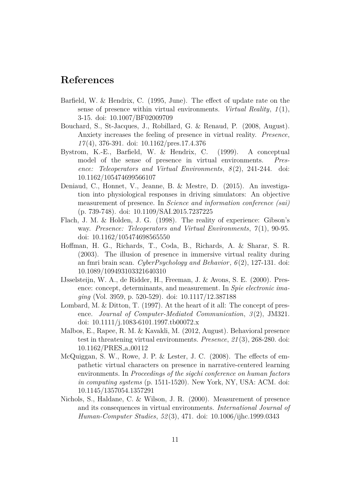### <span id="page-10-0"></span>**References**

- <span id="page-10-1"></span>Barfield, W. & Hendrix, C. (1995, June). The effect of update rate on the sense of presence within virtual environments. *Virtual Reality*, *1* (1), 3-15. doi: [10.1007/BF02009709](http://dx.doi.org/10.1007/BF02009709)
- <span id="page-10-8"></span>Bouchard, S., St-Jacques, J., Robillard, G. & Renaud, P. (2008, August). Anxiety increases the feeling of presence in virtual reality. *Presence*, *17* (4), 376-391. doi: [10.1162/pres.17.4.376](http://dx.doi.org/10.1162/pres.17.4.376)
- <span id="page-10-5"></span>Bystrom, K.-E., Barfield, W. & Hendrix, C. (1999). A conceptual model of the sense of presence in virtual environments. *Presence: Teleoperators and Virtual Environments*, *8* (2), 241-244. doi: [10.1162/105474699566107](http://dx.doi.org/10.1162/105474699566107)
- <span id="page-10-2"></span>Deniaud, C., Honnet, V., Jeanne, B. & Mestre, D. (2015). An investigation into physiological responses in driving simulators: An objective measurement of presence. In *Science and information conference (sai)* (p. 739-748). doi: [10.1109/SAI.2015.7237225](http://dx.doi.org/10.1109/SAI.2015.7237225)
- <span id="page-10-4"></span>Flach, J. M. & Holden, J. G. (1998). The reality of experience: Gibson's way. *Presence: Teleoperators and Virtual Environments*, *7* (1), 90-95. doi: [10.1162/105474698565550](http://dx.doi.org/10.1162/105474698565550)
- <span id="page-10-7"></span>Hoffman, H. G., Richards, T., Coda, B., Richards, A. & Sharar, S. R. (2003). The illusion of presence in immersive virtual reality during an fmri brain scan. *CyberPsychology and Behavior*, *6* (2), 127-131. doi: [10.1089/109493103321640310](http://dx.doi.org/10.1089/109493103321640310)
- <span id="page-10-10"></span>IJsselsteijn, W. A., de Ridder, H., Freeman, J. & Avons, S. E. (2000). Presence: concept, determinants, and measurement. In *Spie electronic imaging* (Vol. 3959, p. 520-529). doi: [10.1117/12.387188](http://dx.doi.org/10.1117/12.387188)
- <span id="page-10-3"></span>Lombard, M. & Ditton, T. (1997). At the heart of it all: The concept of presence. *Journal of Computer-Mediated Communication*, *3* (2), JM321. doi: [10.1111/j.1083-6101.1997.tb00072.x](http://dx.doi.org/10.1111/j.1083-6101.1997.tb00072.x)
- <span id="page-10-11"></span>Malbos, E., Rapee, R. M. & Kavakli, M. (2012, August). Behavioral presence test in threatening virtual environments. *Presence*, *21* (3), 268-280. doi: [10.1162/PRES](http://dx.doi.org/10.1162/PRES_a_00112) a 00112
- <span id="page-10-9"></span>McQuiggan, S. W., Rowe, J. P. & Lester, J. C. (2008). The effects of empathetic virtual characters on presence in narrative-centered learning environments. In *Proceedings of the sigchi conference on human factors in computing systems* (p. 1511-1520). New York, NY, USA: ACM. doi: [10.1145/1357054.1357291](http://dx.doi.org/10.1145/1357054.1357291)
- <span id="page-10-6"></span>Nichols, S., Haldane, C. & Wilson, J. R. (2000). Measurement of presence and its consequences in virtual environments. *International Journal of Human-Computer Studies*, *52* (3), 471. doi: [10.1006/ijhc.1999.0343](http://dx.doi.org/10.1006/ijhc.1999.0343)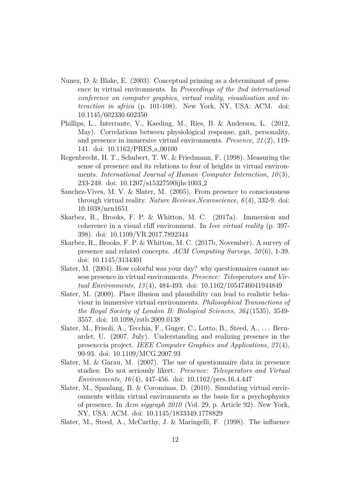- <span id="page-11-1"></span>Nunez, D. & Blake, E. (2003). Conceptual priming as a determinant of presence in virtual environments. In *Proceedings of the 2nd international conference on computer graphics, virtual reality, visualisation and interaction in africa* (p. 101-108). New York, NY, USA: ACM. doi: [10.1145/602330.602350](http://dx.doi.org/10.1145/602330.602350)
- <span id="page-11-9"></span>Phillips, L., Interrante, V., Kaeding, M., Ries, B. & Anderson, L. (2012, May). Correlations between physiological response, gait, personality, and presence in immersive virtual environments. *Presence*, *21* (2), 119- 141. doi: [10.1162/PRES](http://dx.doi.org/10.1162/PRES_a_00100) a 00100
- <span id="page-11-7"></span>Regenbrecht, H. T., Schubert, T. W. & Friedmann, F. (1998). Measuring the sense of presence and its relations to fear of heights in virtual environments. *International Journal of Human–Computer Interaction*, 10(3), 233-249. doi: [10.1207/s15327590ijhc1003](http://dx.doi.org/10.1207/s15327590ijhc1003_2) 2
- <span id="page-11-5"></span>Sanchez-Vives, M. V. & Slater, M. (2005). From presence to consciousness through virtual reality. *Nature Reviews.Neuroscience*, *6* (4), 332-9. doi: [10.1038/nrn1651](http://dx.doi.org/10.1038/nrn1651)
- <span id="page-11-11"></span>Skarbez, R., Brooks, F. P. & Whitton, M. C. (2017a). Immersion and coherence in a visual cliff environment. In *Ieee virtual reality* (p. 397- 398). doi: [10.1109/VR.2017.7892344](http://dx.doi.org/10.1109/VR.2017.7892344)
- <span id="page-11-0"></span>Skarbez, R., Brooks, F. P. & Whitton, M. C. (2017b, November). A survey of presence and related concepts. *ACM Computing Surveys*, *50* (6), 1-39. doi: [10.1145/3134301](http://dx.doi.org/10.1145/3134301)
- <span id="page-11-6"></span>Slater, M. (2004). How colorful was your day? why questionnaires cannot assess presence in virtual environments. *Presence: Teleoperators and Virtual Environments*, *13* (4), 484-493. doi: [10.1162/1054746041944849](http://dx.doi.org/10.1162/1054746041944849)
- <span id="page-11-3"></span>Slater, M. (2009). Place illusion and plausibility can lead to realistic behaviour in immersive virtual environments. *Philosophical Transactions of the Royal Society of London B: Biological Sciences*, *364* (1535), 3549- 3557. doi: [10.1098/rstb.2009.0138](http://dx.doi.org/10.1098/rstb.2009.0138)
- <span id="page-11-10"></span>Slater, M., Frisoli, A., Tecchia, F., Guger, C., Lotto, B., Steed, A., ... Bernardet, U. (2007, July). Understanding and realizing presence in the presenccia project. *IEEE Computer Graphics and Applications*, *27* (4), 90-93. doi: [10.1109/MCG.2007.93](http://dx.doi.org/10.1109/MCG.2007.93)
- <span id="page-11-4"></span>Slater, M. & Garau, M. (2007). The use of questionnaire data in presence studies: Do not seriously likert. *Presence: Teleoperators and Virtual Environments*, *16* (4), 447-456. doi: [10.1162/pres.16.4.447](http://dx.doi.org/10.1162/pres.16.4.447)
- <span id="page-11-2"></span>Slater, M., Spanlang, B. & Corominas, D. (2010). Simulating virtual environments within virtual environments as the basis for a psychophysics of presence. In *Acm siggraph 2010* (Vol. 29, p. Article 92). New York, NY, USA: ACM. doi: [10.1145/1833349.1778829](http://dx.doi.org/10.1145/1833349.1778829)
- <span id="page-11-8"></span>Slater, M., Steed, A., McCarthy, J. & Maringelli, F. (1998). The influence